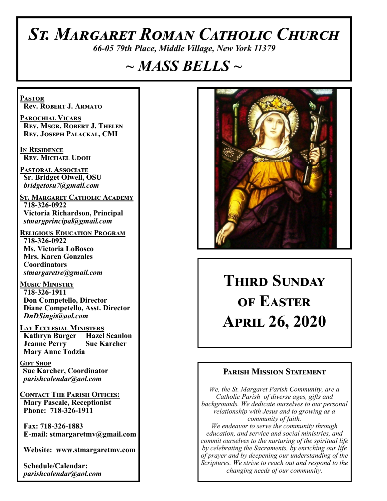# *St. Margaret Roman Catholic Church*

*66-05 79th Place, Middle Village, New York 11379*

# *~ MASS BELLS ~*

**Pastor Rev. Robert J. Armato**

**Parochial Vicars Rev. Msgr. Robert J. Thelen Rev. Joseph Palackal, CMI**

**In Residence Rev. Michael Udoh**

**Pastoral Associate Sr. Bridget Olwell, OSU**  *bridgetosu7@gmail.com*

**St. Margaret Catholic Academy 718-326-0922 Victoria Richardson, Principal**  *stmargprincipal@gmail.com*

**Religious Education Program 718-326-0922 Ms. Victoria LoBosco Mrs. Karen Gonzales Coordinators** *stmargaretre@gmail.com*

**Music Ministry 718-326-1911 Don Competello, Director Diane Competello, Asst. Director** *DnDSingit@aol.com*

**Lay Ecclesial Ministers Kathryn Burger Hazel Scanlon Jeanne Perry Sue Karcher Mary Anne Todzia**

**Gift Shop Sue Karcher, Coordinator** *parishcalendar@aol.com*

**Contact The Parish Offices: Mary Pascale, Receptionist Phone: 718-326-1911** 

 **Fax: 718-326-1883 E-mail: stmargaretmv@gmail.com**

 **Website: www.stmargaretmv.com**

 **Schedule/Calendar:** *parishcalendar@aol.com* 



**Third Sunday of Easter April 26, 2020** 

### **Parish Mission Statement**

*We, the St. Margaret Parish Community, are a Catholic Parish of diverse ages, gifts and backgrounds. We dedicate ourselves to our personal relationship with Jesus and to growing as a community of faith. We endeavor to serve the community through education, and service and social ministries, and commit ourselves to the nurturing of the spiritual life by celebrating the Sacraments, by enriching our life of prayer and by deepening our understanding of the Scriptures. We strive to reach out and respond to the changing needs of our community.*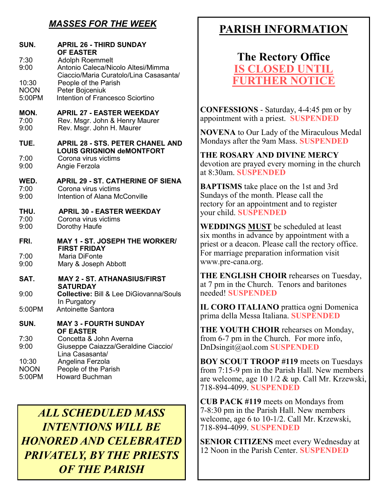# *MASSES FOR THE WEEK*

| SUN.<br>7:30                           | <b>APRIL 26 - THIRD SUNDAY</b><br><b>OF EASTER</b><br><b>Adolph Roemmelt</b>                                                                                |
|----------------------------------------|-------------------------------------------------------------------------------------------------------------------------------------------------------------|
| 9:00<br>10:30<br><b>NOON</b><br>5:00PM | Antonio Caleca/Nicolo Altesi/Mimma<br>Ciaccio/Maria Curatolo/Lina Casasanta/<br>People of the Parish<br>Peter Bojceniuk<br>Intention of Francesco Sciortino |
| MON.<br>7:00<br>9:00                   | <b>APRIL 27 - EASTER WEEKDAY</b><br>Rev. Msgr. John & Henry Maurer<br>Rev. Msgr. John H. Maurer                                                             |
| TUE.<br>7:00<br>9:00                   | <b>APRIL 28 - STS. PETER CHANEL AND</b><br><b>LOUIS GRIGNION deMONTFORT</b><br>Corona virus victims<br>Angie Ferzola                                        |
| WED.<br>7:00<br>9:00                   | <b>APRIL 29 - ST. CATHERINE OF SIENA</b><br>Corona virus victims<br>Intention of Alana McConville                                                           |
| THU.<br>7:00<br>9:00                   | <b>APRIL 30 - EASTER WEEKDAY</b><br>Corona virus victims<br>Dorothy Haufe                                                                                   |
| FRI.                                   | <b>MAY 1 - ST. JOSEPH THE WORKER/</b><br><b>FIRST FRIDAY</b>                                                                                                |
| 7:00<br>9:00                           | Maria DiFonte<br>Mary & Joseph Abbott                                                                                                                       |
| SAT.                                   | <b>MAY 2 - ST. ATHANASIUS/FIRST</b><br><b>SATURDAY</b>                                                                                                      |
| 9:00                                   | <b>Collective: Bill &amp; Lee DiGiovanna/Souls</b>                                                                                                          |
| 5:00PM                                 | In Purgatory<br><b>Antoinette Santora</b>                                                                                                                   |
| SUN.                                   | <b>MAY 3 - FOURTH SUNDAY</b><br><b>OF EASTER</b>                                                                                                            |
| 7:30<br>9:00                           | Concetta & John Averna<br>Giuseppe Caiazza/Geraldine Ciaccio/<br>Lina Casasanta/                                                                            |
| 10:30<br><b>NOON</b><br>5:00PM         | Angelina Ferzola<br>People of the Parish<br><b>Howard Buchman</b>                                                                                           |

*ALL SCHEDULED MASS INTENTIONS WILL BE HONORED AND CELEBRATED PRIVATELY, BY THE PRIESTS OF THE PARISH*

# **PARISH INFORMATION**

# **The Rectory Office IS CLOSED UNTIL FURTHER NOTICE**

**CONFESSIONS** - Saturday, 4-4:45 pm or by appointment with a priest. **SUSPENDED**

**NOVENA** to Our Lady of the Miraculous Medal Mondays after the 9am Mass. **SUSPENDED**

**THE ROSARY AND DIVINE MERCY** devotion are prayed every morning in the church at 8:30am. **SUSPENDED**

**BAPTISMS** take place on the 1st and 3rd Sundays of the month. Please call the rectory for an appointment and to register your child. **SUSPENDED**

**WEDDINGS MUST** be scheduled at least six months in advance by appointment with a priest or a deacon. Please call the rectory office. For marriage preparation information visit www.pre-cana.org.

**THE ENGLISH CHOIR** rehearses on Tuesday, at 7 pm in the Church. Tenors and baritones needed! **SUSPENDED**

**IL CORO ITALIANO** prattica ogni Domenica prima della Messa Italiana. **SUSPENDED**

**THE YOUTH CHOIR** rehearses on Monday, from 6-7 pm in the Church. For more info, DnDsingit@aol.com **SUSPENDED**

**BOY SCOUT TROOP #119** meets on Tuesdays from 7:15-9 pm in the Parish Hall. New members are welcome, age 10 1/2 & up. Call Mr. Krzewski, 718-894-4099. **SUSPENDED**

**CUB PACK #119** meets on Mondays from 7-8:30 pm in the Parish Hall. New members welcome, age 6 to 10-1/2. Call Mr. Krzewski, 718-894-4099. **SUSPENDED**

**SENIOR CITIZENS** meet every Wednesday at 12 Noon in the Parish Center. **SUSPENDED**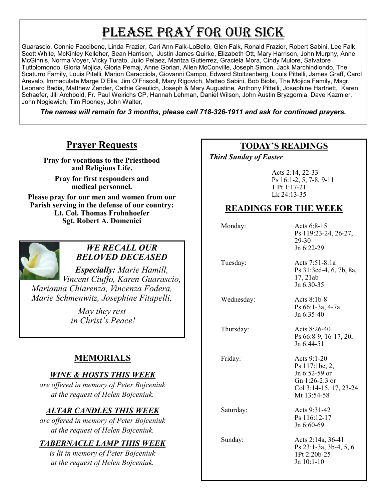# PLEASE PRAY FOR OUR SICK

Guarascio, Connie Faccibene, Linda Frazier, Cari Ann Falk-LoBello, Glen Falk, Ronald Frazier, Robert Sabini, Lee Falk, Scott White, McKinley Kelleher, Sean Harrison, Justin James Quirke, Elizabeth Ott, Mary Harrison, John Murphy, Anne McGinnis, Norma Voyer, Vicky Turato, Julio Pelaez, Maritza Gutierrez, Graciela Mora, Cindy Mulore, Salvatore Tuttolomondo, Gloria Mojica, Gloria Pemaj, Anne Gorian, Allen McConville, Joseph Simon, Jack Marchindiondo, The Scaturro Family, Louis Pitelli, Marion Caracciola, Giovanni Campo, Edward Stoltzenberg, Louis Pittelli, James Graff, Carol Arevalo, Immaculate Marge D'Elia, Jim O'Friscoll, Mary Rigovich, Matteo Sabini, Bob Biolsi, The Mojica Family, Msgr. Leonard Badia, Matthew Zender, Cathie Greulich, Joseph & Mary Augustine, Anthony Pittelli, Josephine Hartnett, Karen Schaefer, Jill Archbold, Fr. Paul Weirichs CP, Hannah Lehman, Daniel Wilson, John Austin Bryzgornia, Dave Kazmier, John Nogiewich, Tim Rooney, John Walter,

*The names will remain for 3 months, please call 718-326-1911 and ask for continued prayers.*

## **Prayer Requests**

**Pray for vocations to the Priesthood and Religious Life.** 

**Pray for first responders and medical personnel.**

**Please pray for our men and women from our Parish serving in the defense of our country: Lt. Col. Thomas Frohnhoefer Sgt. Robert A. Domenici** 



#### *WE RECALL OUR BELOVED DECEASED*

*Especially: Marie Hamill, Vincent Ciuffo, Karen Guarascio, Marianna Chiarenza, Vincenza Fodera, Marie Schmenwitz, Josephine Fitapelli,* 

> *May they rest in Christ's Peace!*

# **MEMORIALS**

### *WINE & HOSTS THIS WEEK*

*are offered in memory of Peter Bojceniuk at the request of Helen Bojceniuk.* 

## *ALTAR CANDLES THIS WEEK*

*are offered in memory of Peter Bojceniuk at the request of Helen Bojceniuk.* 

## *TABERNACLE LAMP THIS WEEK*

*is lit in memory of Peter Bojceniuk at the request of Helen Bojceniuk.*

### **TODAY'S READINGS**

 *Third Sunday of Easter* 

Acts 2:14, 22-33 Ps 16:1-2, 5, 7-8, 9-11 1 Pt 1:17-21 Lk 24:13-35

### **READINGS FOR THE WEEK**

Monday: Acts 6:8-15 Ps 119:23-24, 26-27, 29-30 Jn 6:22-29

 Tuesday: Acts 7:51-8:1a Ps 31:3cd-4, 6, 7b, 8a, 17, 21ab Jn 6:30-35

Wednesday: Acts 8:1b-8

Ps 66:1-3a, 4-7a Jn 6:35-40

Thursday: Acts 8:26-40 Ps 66:8-9, 16-17, 20, Jn 6:44-51

Friday: Acts 9:1-20

Ps 117:1bc, 2, Jn 6:52-59 or Gn 1:26-2:3 or Col 3:14-15, 17, 23-24 Mt 13:54-58

Saturday: Acts 9:31-42

Jn 6:60-69

 Sunday: Acts 2:14a, 36-41 Ps 23:1-3a, 3b-4, 5, 6 1Pt 2:20b-25 Jn 10:1-10

Ps 116:12-17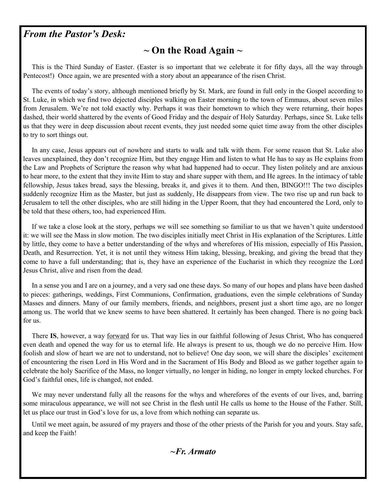## *From the Pastor's Desk:*

# **~ On the Road Again ~**

 This is the Third Sunday of Easter. (Easter is so important that we celebrate it for fifty days, all the way through Pentecost!) Once again, we are presented with a story about an appearance of the risen Christ.

 The events of today's story, although mentioned briefly by St. Mark, are found in full only in the Gospel according to St. Luke, in which we find two dejected disciples walking on Easter morning to the town of Emmaus, about seven miles from Jerusalem. We're not told exactly why. Perhaps it was their hometown to which they were returning, their hopes dashed, their world shattered by the events of Good Friday and the despair of Holy Saturday. Perhaps, since St. Luke tells us that they were in deep discussion about recent events, they just needed some quiet time away from the other disciples to try to sort things out.

 In any case, Jesus appears out of nowhere and starts to walk and talk with them. For some reason that St. Luke also leaves unexplained, they don't recognize Him, but they engage Him and listen to what He has to say as He explains from the Law and Prophets of Scripture the reason why what had happened had to occur. They listen politely and are anxious to hear more, to the extent that they invite Him to stay and share supper with them, and He agrees. In the intimacy of table fellowship, Jesus takes bread, says the blessing, breaks it, and gives it to them. And then, BINGO!!! The two disciples suddenly recognize Him as the Master, but just as suddenly, He disappears from view. The two rise up and run back to Jerusalem to tell the other disciples, who are still hiding in the Upper Room, that they had encountered the Lord, only to be told that these others, too, had experienced Him.

 If we take a close look at the story, perhaps we will see something so familiar to us that we haven't quite understood it: we will see the Mass in slow motion. The two disciples initially meet Christ in His explanation of the Scriptures. Little by little, they come to have a better understanding of the whys and wherefores of His mission, especially of His Passion, Death, and Resurrection. Yet, it is not until they witness Him taking, blessing, breaking, and giving the bread that they come to have a full understanding; that is, they have an experience of the Eucharist in which they recognize the Lord Jesus Christ, alive and risen from the dead.

 In a sense you and I are on a journey, and a very sad one these days. So many of our hopes and plans have been dashed to pieces: gatherings, weddings, First Communions, Confirmation, graduations, even the simple celebrations of Sunday Masses and dinners. Many of our family members, friends, and neighbors, present just a short time ago, are no longer among us. The world that we knew seems to have been shattered. It certainly has been changed. There is no going back for us.

 There **IS**, however, a way forward for us. That way lies in our faithful following of Jesus Christ, Who has conquered even death and opened the way for us to eternal life. He always is present to us, though we do no perceive Him. How foolish and slow of heart we are not to understand, not to believe! One day soon, we will share the disciples' excitement of encountering the risen Lord in His Word and in the Sacrament of His Body and Blood as we gather together again to celebrate the holy Sacrifice of the Mass, no longer virtually, no longer in hiding, no longer in empty locked churches. For God's faithful ones, life is changed, not ended.

We may never understand fully all the reasons for the whys and wherefores of the events of our lives, and, barring some miraculous appearance, we will not see Christ in the flesh until He calls us home to the House of the Father. Still, let us place our trust in God's love for us, a love from which nothing can separate us.

 Until we meet again, be assured of my prayers and those of the other priests of the Parish for you and yours. Stay safe, and keep the Faith!

*~Fr. Armato*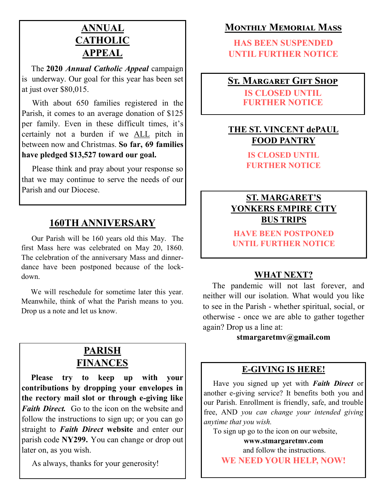# **ANNUAL CATHOLIC APPEAL**

 The **2020** *Annual Catholic Appeal* campaign is underway. Our goal for this year has been set at just over \$80,015.

 With about 650 families registered in the Parish, it comes to an average donation of \$125 per family. Even in these difficult times, it's certainly not a burden if we ALL pitch in between now and Christmas. **So far, 69 families have pledged \$13,527 toward our goal.**

 Please think and pray about your response so that we may continue to serve the needs of our Parish and our Diocese.

# **160TH ANNIVERSARY**

 Our Parish will be 160 years old this May. The first Mass here was celebrated on May 20, 1860. The celebration of the anniversary Mass and dinnerdance have been postponed because of the lockdown.

 We will reschedule for sometime later this year. Meanwhile, think of what the Parish means to you. Drop us a note and let us know.

# **PARISH FINANCES**

 **Please try to keep up with your contributions by dropping your envelopes in the rectory mail slot or through e-giving like**  *Faith Direct.* Go to the icon on the website and follow the instructions to sign up; or you can go straight to *Faith Direct* **website** and enter our parish code **NY299.** You can change or drop out later on, as you wish.

As always, thanks for your generosity!

# **Monthly Memorial Mass**

**HAS BEEN SUSPENDED UNTIL FURTHER NOTICE**

# **St. Margaret Gift Shop**

**IS CLOSED UNTIL FURTHER NOTICE**

## **THE ST. VINCENT dePAUL FOOD PANTRY**

**IS CLOSED UNTIL FURTHER NOTICE**

## **ST. MARGARET'S YONKERS EMPIRE CITY BUS TRIPS**

**HAVE BEEN POSTPONED UNTIL FURTHER NOTICE**

### **WHAT NEXT?**

 The pandemic will not last forever, and neither will our isolation. What would you like to see in the Parish - whether spiritual, social, or otherwise - once we are able to gather together again? Drop us a line at:

#### **stmargaretmv@gmail.com**

### **E-GIVING IS HERE!**

 Have you signed up yet with *Faith Direct* or another e-giving service? It benefits both you and our Parish. Enrollment is friendly, safe, and trouble free, AND *you can change your intended giving anytime that you wish.*

To sign up go to the icon on our website,

**www.stmargaretmv.com** and follow the instructions. **WE NEED YOUR HELP, NOW!**